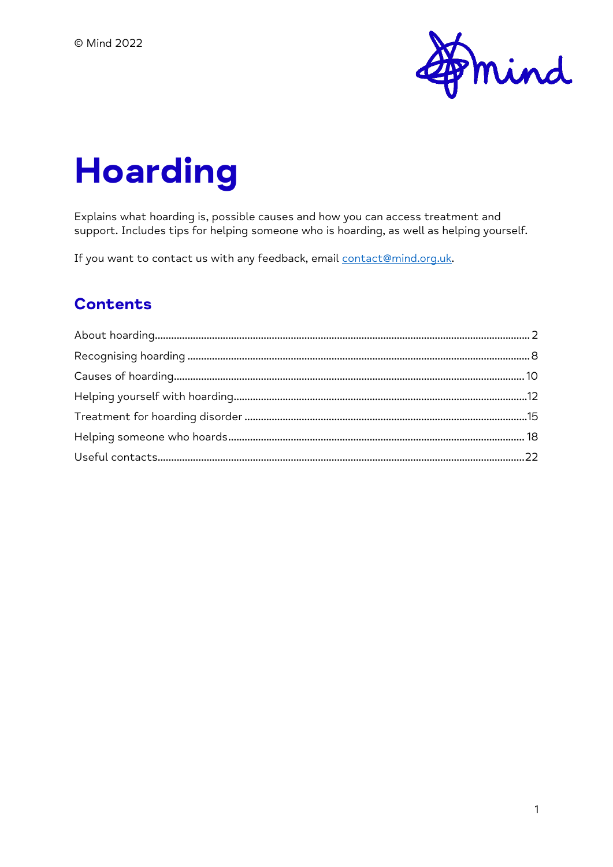

# **Hoarding**

Explains what hoarding is, possible causes and how you can access treatment and support. Includes tips for helping someone who is hoarding, as well as helping yourself.

If you want to contact us with any feedback, email [contact@mind.org.uk.](mailto:contact@mind.org.uk)

#### **Contents**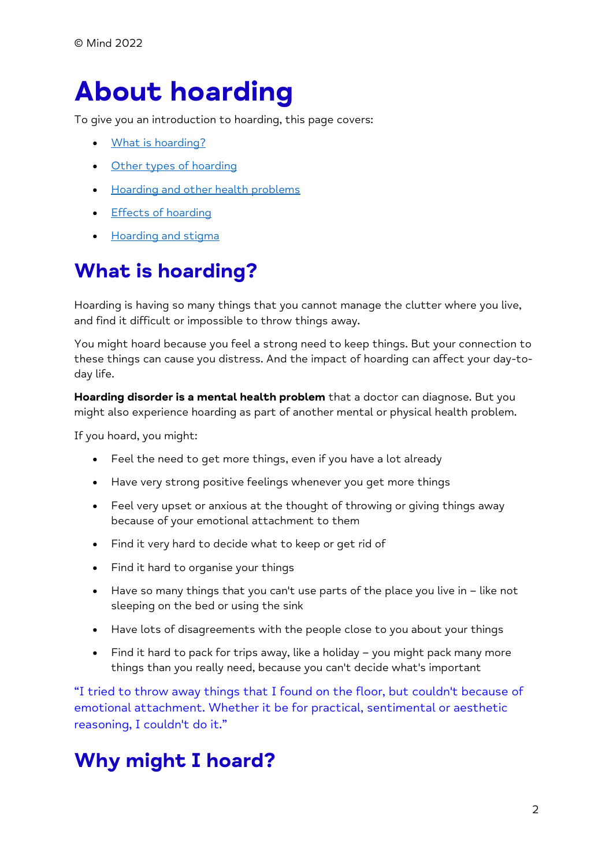# <span id="page-1-0"></span>**About hoarding**

To give you an introduction to hoarding, this page covers:

- [What is hoarding?](https://www.mind.org.uk/information-support/types-of-mental-health-problems/hoarding/about-hoarding/#WhatIsHoarding)
- [Other types of hoarding](https://www.mind.org.uk/information-support/types-of-mental-health-problems/hoarding/about-hoarding/#OtherTypesOfHoarding)
- [Hoarding and other health problems](https://www.mind.org.uk/information-support/types-of-mental-health-problems/hoarding/about-hoarding/#HoardingAndOtherHealthProblems)
- [Effects of hoarding](https://www.mind.org.uk/information-support/types-of-mental-health-problems/hoarding/about-hoarding/#EffectsOfHoarding)
- [Hoarding and stigma](https://www.mind.org.uk/information-support/types-of-mental-health-problems/hoarding/about-hoarding/#HoardingAndStigma)

## **What is hoarding?**

Hoarding is having so many things that you cannot manage the clutter where you live, and find it difficult or impossible to throw things away.

You might hoard because you feel a strong need to keep things. But your connection to these things can cause you distress. And the impact of hoarding can affect your day-today life.

**Hoarding disorder is a mental health problem** that a doctor can diagnose. But you might also experience hoarding as part of another mental or physical health problem.

If you hoard, you might:

- Feel the need to get more things, even if you have a lot already
- Have very strong positive feelings whenever you get more things
- Feel very upset or anxious at the thought of throwing or giving things away because of your emotional attachment to them
- Find it very hard to decide what to keep or get rid of
- Find it hard to organise your things
- Have so many things that you can't use parts of the place you live in like not sleeping on the bed or using the sink
- Have lots of disagreements with the people close to you about your things
- Find it hard to pack for trips away, like a holiday you might pack many more things than you really need, because you can't decide what's important

"I tried to throw away things that I found on the floor, but couldn't because of emotional attachment. Whether it be for practical, sentimental or aesthetic reasoning, I couldn't do it."

## **Why might I hoard?**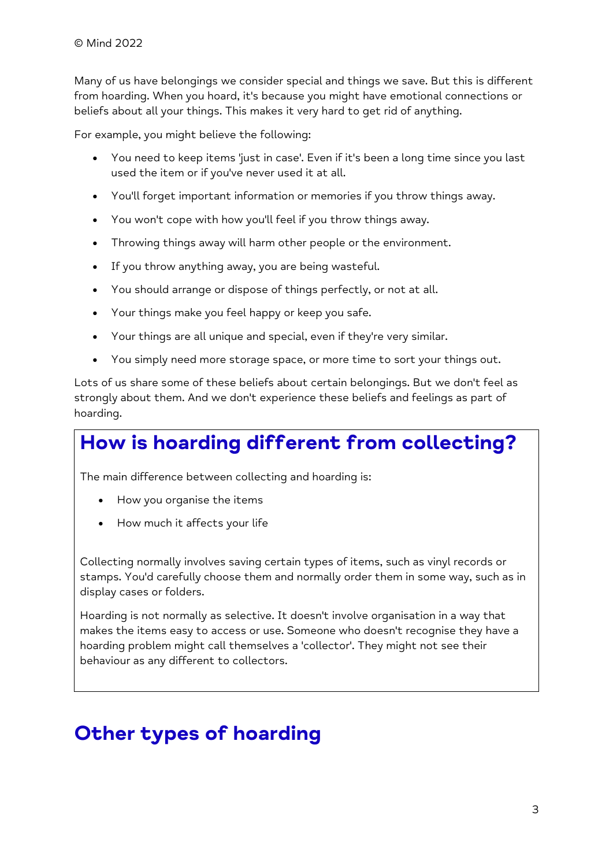Many of us have belongings we consider special and things we save. But this is different from hoarding. When you hoard, it's because you might have emotional connections or beliefs about all your things. This makes it very hard to get rid of anything.

For example, you might believe the following:

- You need to keep items 'just in case'. Even if it's been a long time since you last used the item or if you've never used it at all.
- You'll forget important information or memories if you throw things away.
- You won't cope with how you'll feel if you throw things away.
- Throwing things away will harm other people or the environment.
- If you throw anything away, you are being wasteful.
- You should arrange or dispose of things perfectly, or not at all.
- Your things make you feel happy or keep you safe.
- Your things are all unique and special, even if they're very similar.
- You simply need more storage space, or more time to sort your things out.

Lots of us share some of these beliefs about certain belongings. But we don't feel as strongly about them. And we don't experience these beliefs and feelings as part of hoarding.

## **How is hoarding different from collecting?**

The main difference between collecting and hoarding is:

- How you organise the items
- How much it affects your life

Collecting normally involves saving certain types of items, such as vinyl records or stamps. You'd carefully choose them and normally order them in some way, such as in display cases or folders.

Hoarding is not normally as selective. It doesn't involve organisation in a way that makes the items easy to access or use. Someone who doesn't recognise they have a hoarding problem might call themselves a 'collector'. They might not see their behaviour as any different to collectors.

### **Other types of hoarding**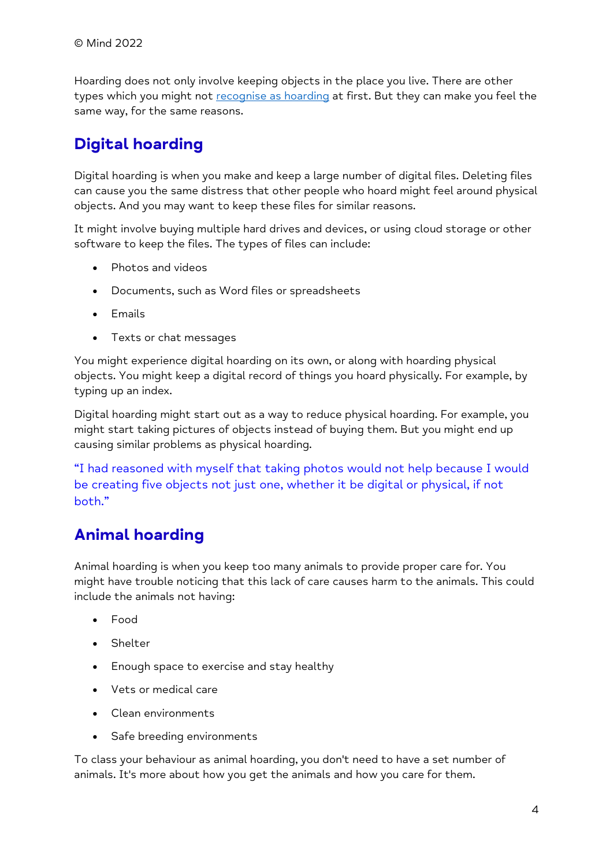Hoarding does not only involve keeping objects in the place you live. There are other types which you might not [recognise as hoarding](https://www.mind.org.uk/information-support/types-of-mental-health-problems/hoarding/recognising-hoarding/) at first. But they can make you feel the same way, for the same reasons.

### **Digital hoarding**

Digital hoarding is when you make and keep a large number of digital files. Deleting files can cause you the same distress that other people who hoard might feel around physical objects. And you may want to keep these files for similar reasons.

It might involve buying multiple hard drives and devices, or using cloud storage or other software to keep the files. The types of files can include:

- Photos and videos
- Documents, such as Word files or spreadsheets
- Emails
- Texts or chat messages

You might experience digital hoarding on its own, or along with hoarding physical objects. You might keep a digital record of things you hoard physically. For example, by typing up an index.

Digital hoarding might start out as a way to reduce physical hoarding. For example, you might start taking pictures of objects instead of buying them. But you might end up causing similar problems as physical hoarding.

"I had reasoned with myself that taking photos would not help because I would be creating five objects not just one, whether it be digital or physical, if not both."

### **Animal hoarding**

Animal hoarding is when you keep too many animals to provide proper care for. You might have trouble noticing that this lack of care causes harm to the animals. This could include the animals not having:

- Food
- Shelter
- Enough space to exercise and stay healthy
- Vets or medical care
- Clean environments
- Safe breeding environments

To class your behaviour as animal hoarding, you don't need to have a set number of animals. It's more about how you get the animals and how you care for them.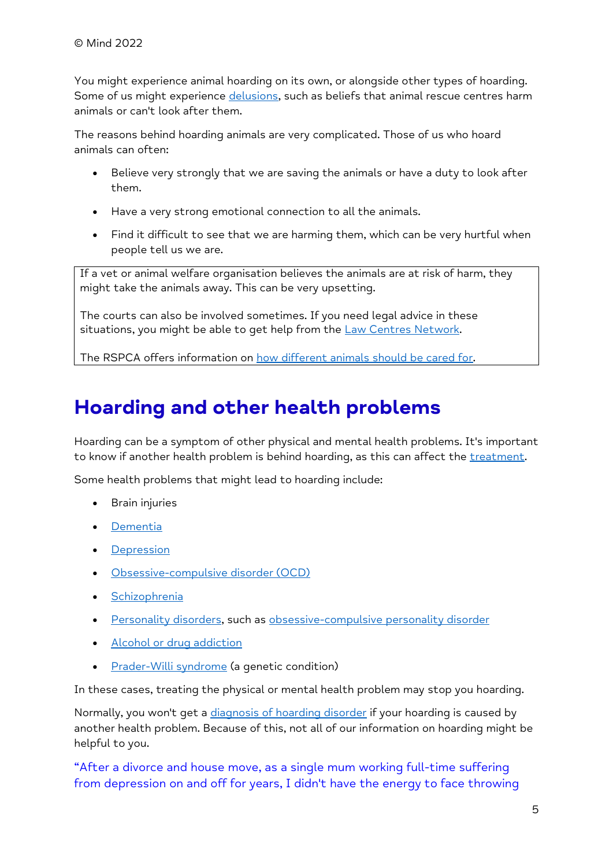You might experience animal hoarding on its own, or alongside other types of hoarding. Some of us might experience [delusions,](https://www.mind.org.uk/information-support/types-of-mental-health-problems/psychosis/types-of-psychosis/#Delusions) such as beliefs that animal rescue centres harm animals or can't look after them.

The reasons behind hoarding animals are very complicated. Those of us who hoard animals can often:

- Believe very strongly that we are saving the animals or have a duty to look after them.
- Have a very strong emotional connection to all the animals.
- Find it difficult to see that we are harming them, which can be very hurtful when people tell us we are.

If a vet or animal welfare organisation believes the animals are at risk of harm, they might take the animals away. This can be very upsetting.

The courts can also be involved sometimes. If you need legal advice in these situations, you might be able to get help from the [Law Centres Network.](https://www.lawcentres.org.uk/)

The RSPCA offers information on [how different animals should be cared for.](https://www.rspca.org.uk/adviceandwelfare)

### **Hoarding and other health problems**

Hoarding can be a symptom of other physical and mental health problems. It's important to know if another health problem is behind hoarding, as this can affect the [treatment.](https://www.mind.org.uk/information-support/types-of-mental-health-problems/hoarding/treating-hoarding-disorder/)

Some health problems that might lead to hoarding include:

- Brain injuries
- [Dementia](https://www.nhs.uk/conditions/dementia/about/)
- [Depression](https://www.mind.org.uk/information-support/types-of-mental-health-problems/depression/about-depression/)
- [Obsessive-compulsive disorder \(OCD\)](https://www.mind.org.uk/information-support/types-of-mental-health-problems/obsessive-compulsive-disorder-ocd/about-ocd/)
- [Schizophrenia](https://www.mind.org.uk/information-support/types-of-mental-health-problems/schizophrenia/about-schizophrenia/)
- [Personality disorders,](https://www.mind.org.uk/information-support/types-of-mental-health-problems/personality-disorders/about-personality-disorders/) such as [obsessive-compulsive personality disorder](https://www.mind.org.uk/information-support/types-of-mental-health-problems/personality-disorders/types-of-personality-disorder/#ObsessiveCompulsivePersonalityDisorderOCPD)
- [Alcohol or drug addiction](https://www.mind.org.uk/information-support/guides-to-support-and-services/addiction-and-dependency/)
- [Prader-Willi syndrome](https://www.nhs.uk/conditions/prader-willi-syndrome/) (a genetic condition)

In these cases, treating the physical or mental health problem may stop you hoarding.

Normally, you won't get a [diagnosis of hoarding disorder](https://www.mind.org.uk/information-support/types-of-mental-health-problems/hoarding/recognising-hoarding/#CanIGetADiagnosisOfHoardingDisorder) if your hoarding is caused by another health problem. Because of this, not all of our information on hoarding might be helpful to you.

"After a divorce and house move, as a single mum working full-time suffering from depression on and off for years, I didn't have the energy to face throwing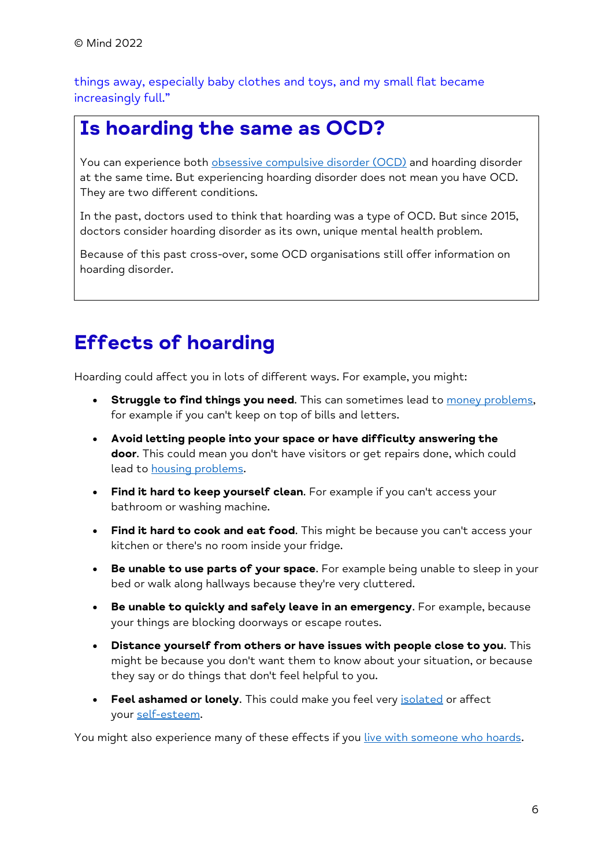things away, especially baby clothes and toys, and my small flat became increasingly full."

### **Is hoarding the same as OCD?**

You can experience both [obsessive compulsive disorder \(OCD\)](https://www.mind.org.uk/information-support/types-of-mental-health-problems/obsessive-compulsive-disorder-ocd/about-ocd/) and hoarding disorder at the same time. But experiencing hoarding disorder does not mean you have OCD. They are two different conditions.

In the past, doctors used to think that hoarding was a type of OCD. But since 2015, doctors consider hoarding disorder as its own, unique mental health problem.

Because of this past cross-over, some OCD organisations still offer information on hoarding disorder.

### **Effects of hoarding**

Hoarding could affect you in lots of different ways. For example, you might:

- **Struggle to find things you need**. This can sometimes lead to [money problems,](https://www.mind.org.uk/information-support/tips-for-everyday-living/money-and-mental-health/) for example if you can't keep on top of bills and letters.
- **Avoid letting people into your space or have difficulty answering the door**. This could mean you don't have visitors or get repairs done, which could lead to [housing problems.](https://www.mind.org.uk/information-support/guides-to-support-and-services/housing/housing-and-mental-health/)
- **Find it hard to keep yourself clean**. For example if you can't access your bathroom or washing machine.
- **Find it hard to cook and eat food**. This might be because you can't access your kitchen or there's no room inside your fridge.
- **Be unable to use parts of your space**. For example being unable to sleep in your bed or walk along hallways because they're very cluttered.
- **Be unable to quickly and safely leave in an emergency**. For example, because your things are blocking doorways or escape routes.
- **Distance yourself from others or have issues with people close to you**. This might be because you don't want them to know about your situation, or because they say or do things that don't feel helpful to you.
- **Feel ashamed or lonely**. This could make you feel very [isolated](https://www.mind.org.uk/information-support/tips-for-everyday-living/loneliness/about-loneliness/) or affect your [self-esteem.](https://www.mind.org.uk/information-support/types-of-mental-health-problems/self-esteem/about-self-esteem/)

You might also experience many of these effects if you [live with someone who hoards.](https://www.mind.org.uk/information-support/types-of-mental-health-problems/hoarding/helping-someone-who-hoards/#LivingWithSomeoneWhoIsHoarding)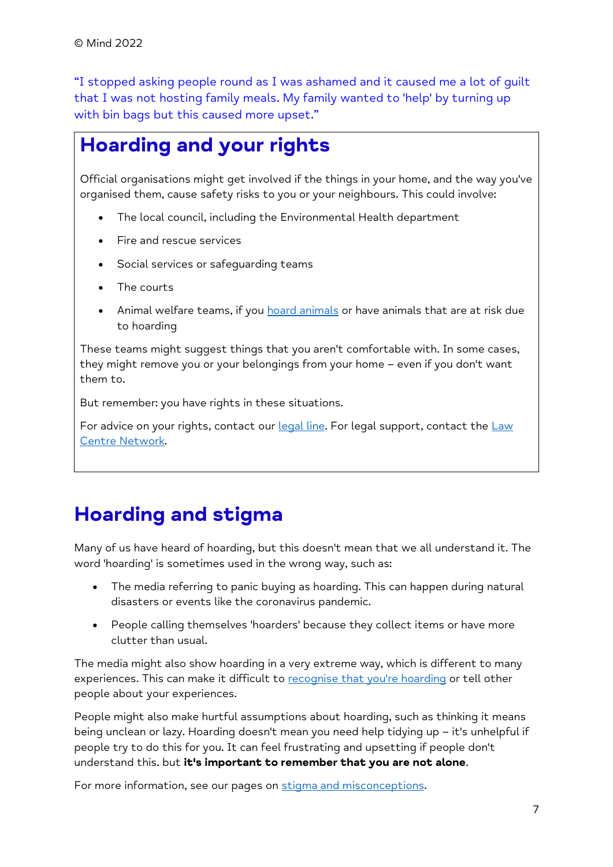"I stopped asking people round as I was ashamed and it caused me a lot of guilt that I was not hosting family meals. My family wanted to 'help' by turning up with bin bags but this caused more upset."

### **Hoarding and your rights**

Official organisations might get involved if the things in your home, and the way you've organised them, cause safety risks to you or your neighbours. This could involve:

- The local council, including the Environmental Health department
- Fire and rescue services
- Social services or safeguarding teams
- The courts
- Animal welfare teams, if you **[hoard animals](https://www.mind.org.uk/information-support/types-of-mental-health-problems/hoarding/about-hoarding/#AnimalHoarding)** or have animals that are at risk due to hoarding

These teams might suggest things that you aren't comfortable with. In some cases, they might remove you or your belongings from your home – even if you don't want them to.

But remember: you have rights in these situations.

For advice on your rights, contact our [legal line.](https://www.mind.org.uk/information-support/helplines/) For legal support, contact the Law [Centre Network.](https://www.lawcentres.org.uk/)

### **Hoarding and stigma**

Many of us have heard of hoarding, but this doesn't mean that we all understand it. The word 'hoarding' is sometimes used in the wrong way, such as:

- The media referring to panic buying as hoarding. This can happen during natural disasters or events like the coronavirus pandemic.
- People calling themselves 'hoarders' because they collect items or have more clutter than usual.

The media might also show hoarding in a very extreme way, which is different to many experiences. This can make it difficult to [recognise that you're hoarding](https://www.mind.org.uk/information-support/types-of-mental-health-problems/hoarding/recognising-hoarding/) or tell other people about your experiences.

People might also make hurtful assumptions about hoarding, such as thinking it means being unclean or lazy. Hoarding doesn't mean you need help tidying up – it's unhelpful if people try to do this for you. It can feel frustrating and upsetting if people don't understand this. but **it's important to remember that you are not alone**.

For more information, see our pages on [stigma and misconceptions.](https://www.mind.org.uk/information-support/types-of-mental-health-problems/mental-health-problems-introduction/stigma-misconceptions/)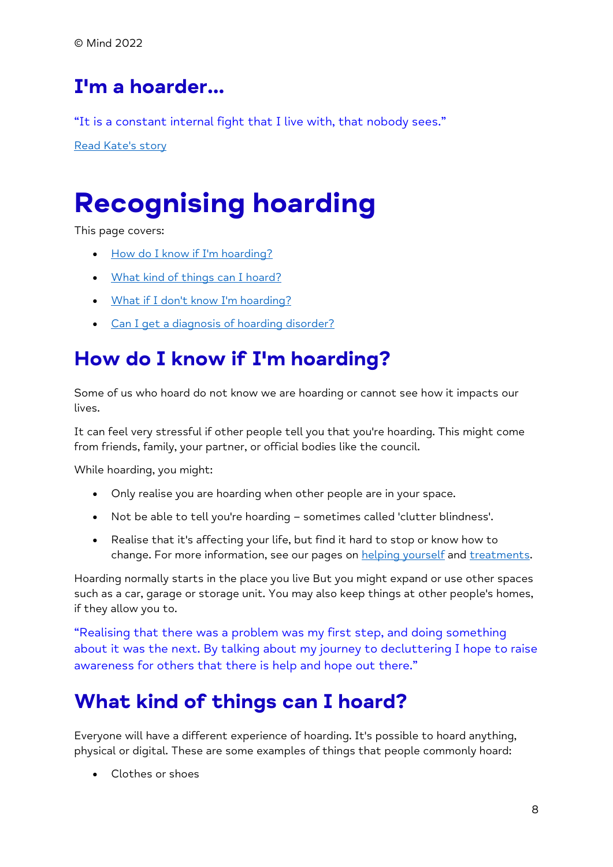## **I'm a hoarder...**

"It is a constant internal fight that I live with, that nobody sees."

[Read Kate's story](https://www.mind.org.uk/information-support/your-stories/im-a-hoarder/)

# <span id="page-7-0"></span>**Recognising hoarding**

This page covers:

- [How do I know if I'm hoarding?](https://www.mind.org.uk/information-support/types-of-mental-health-problems/hoarding/recognising-hoarding/#HowDoIKnowIfImHoarding)
- [What kind of things can I hoard?](https://www.mind.org.uk/information-support/types-of-mental-health-problems/hoarding/recognising-hoarding/#WhatKindOfThingsCanIHoard)
- [What if I don't know I'm hoarding?](https://www.mind.org.uk/information-support/types-of-mental-health-problems/hoarding/recognising-hoarding/#WhatIfIDontKnowImHoarding)
- [Can I get a diagnosis of hoarding disorder?](https://www.mind.org.uk/information-support/types-of-mental-health-problems/hoarding/recognising-hoarding/#CanIGetADiagnosisOfHoardingDisorder)

### **How do I know if I'm hoarding?**

Some of us who hoard do not know we are hoarding or cannot see how it impacts our lives.

It can feel very stressful if other people tell you that you're hoarding. This might come from friends, family, your partner, or official bodies like the council.

While hoarding, you might:

- Only realise you are hoarding when other people are in your space.
- Not be able to tell you're hoarding sometimes called 'clutter blindness'.
- Realise that it's affecting your life, but find it hard to stop or know how to change. For more information, see our pages on [helping yourself](https://www.mind.org.uk/information-support/types-of-mental-health-problems/hoarding/help-yourself-with-hoarding/) and [treatments.](https://www.mind.org.uk/information-support/types-of-mental-health-problems/hoarding/treating-hoarding-disorder/)

Hoarding normally starts in the place you live But you might expand or use other spaces such as a car, garage or storage unit. You may also keep things at other people's homes, if they allow you to.

"Realising that there was a problem was my first step, and doing something about it was the next. By talking about my journey to decluttering I hope to raise awareness for others that there is help and hope out there."

### **What kind of things can I hoard?**

Everyone will have a different experience of hoarding. It's possible to hoard anything, physical or digital. These are some examples of things that people commonly hoard:

• Clothes or shoes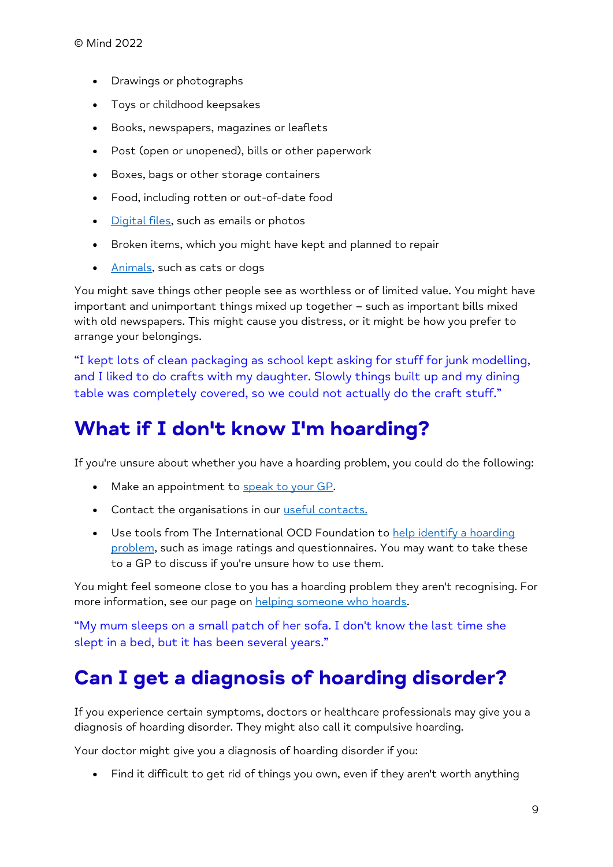- Drawings or photographs
- Toys or childhood keepsakes
- Books, newspapers, magazines or leaflets
- Post (open or unopened), bills or other paperwork
- Boxes, bags or other storage containers
- Food, including rotten or out-of-date food
- [Digital files,](https://www.mind.org.uk/information-support/types-of-mental-health-problems/hoarding/about-hoarding/#DigitalHoarding) such as emails or photos
- Broken items, which you might have kept and planned to repair
- [Animals,](https://www.mind.org.uk/information-support/types-of-mental-health-problems/hoarding/about-hoarding/#AnimalHoarding) such as cats or dogs

You might save things other people see as worthless or of limited value. You might have important and unimportant things mixed up together – such as important bills mixed with old newspapers. This might cause you distress, or it might be how you prefer to arrange your belongings.

"I kept lots of clean packaging as school kept asking for stuff for junk modelling, and I liked to do crafts with my daughter. Slowly things built up and my dining table was completely covered, so we could not actually do the craft stuff."

### **What if I don't know I'm hoarding?**

If you're unsure about whether you have a hoarding problem, you could do the following:

- Make an appointment to [speak to your GP.](https://www.mind.org.uk/information-support/types-of-mental-health-problems/hoarding/treating-hoarding-disorder/#TalkingToYourGP)
- Contact the organisations in our [useful contacts.](https://www.mind.org.uk/information-support/types-of-mental-health-problems/hoarding/useful-contacts-for-hoarding/)
- Use tools from The International OCD Foundation to help identify a hoarding [problem,](https://hoarding.iocdf.org/professionals/clinical-assessment/) such as image ratings and questionnaires. You may want to take these to a GP to discuss if you're unsure how to use them.

You might feel someone close to you has a hoarding problem they aren't recognising. For more information, see our page on [helping someone who hoards.](https://www.mind.org.uk/information-support/types-of-mental-health-problems/hoarding/helping-someone-who-hoards/)

"My mum sleeps on a small patch of her sofa. I don't know the last time she slept in a bed, but it has been several years."

### **Can I get a diagnosis of hoarding disorder?**

If you experience certain symptoms, doctors or healthcare professionals may give you a diagnosis of hoarding disorder. They might also call it compulsive hoarding.

Your doctor might give you a diagnosis of hoarding disorder if you:

• Find it difficult to get rid of things you own, even if they aren't worth anything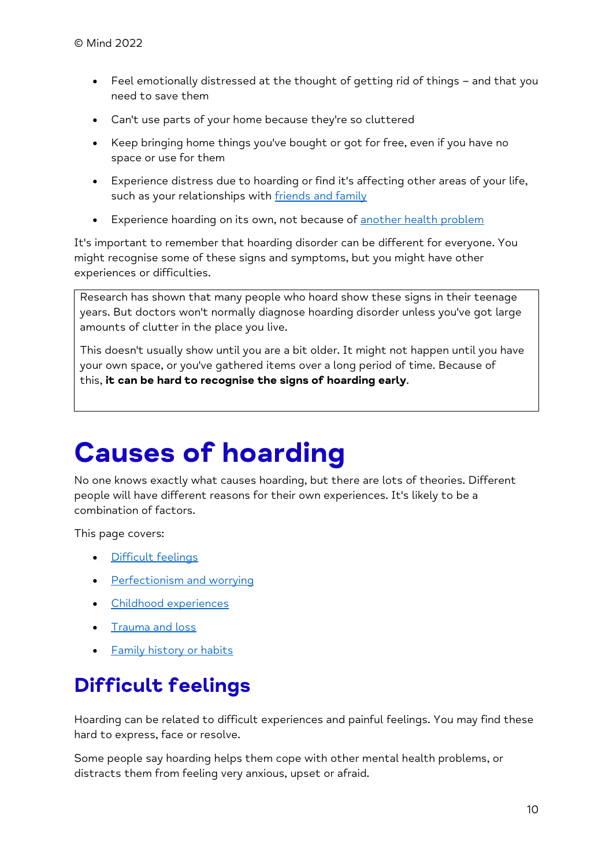- Feel emotionally distressed at the thought of getting rid of things and that you need to save them
- Can't use parts of your home because they're so cluttered
- Keep bringing home things you've bought or got for free, even if you have no space or use for them
- Experience distress due to hoarding or find it's affecting other areas of your life, such as your relationships with **friends** and family
- Experience hoarding on its own, not because of [another health problem](https://www.mind.org.uk/information-support/types-of-mental-health-problems/hoarding/about-hoarding/#HoardingAndOtherHealthProblems)

It's important to remember that hoarding disorder can be different for everyone. You might recognise some of these signs and symptoms, but you might have other experiences or difficulties.

Research has shown that many people who hoard show these signs in their teenage years. But doctors won't normally diagnose hoarding disorder unless you've got large amounts of clutter in the place you live.

This doesn't usually show until you are a bit older. It might not happen until you have your own space, or you've gathered items over a long period of time. Because of this, **it can be hard to recognise the signs of hoarding early**.

# <span id="page-9-0"></span>**Causes of hoarding**

No one knows exactly what causes hoarding, but there are lots of theories. Different people will have different reasons for their own experiences. It's likely to be a combination of factors.

This page covers:

- [Difficult feelings](https://www.mind.org.uk/information-support/types-of-mental-health-problems/hoarding/causes-of-hoarding/#DifficultFeelings)
- [Perfectionism and worrying](https://www.mind.org.uk/information-support/types-of-mental-health-problems/hoarding/causes-of-hoarding/#PerfectionismAndWorrying)
- [Childhood experiences](https://www.mind.org.uk/information-support/types-of-mental-health-problems/hoarding/causes-of-hoarding/#ChildhoodExperiences)
- [Trauma and loss](https://www.mind.org.uk/information-support/types-of-mental-health-problems/hoarding/causes-of-hoarding/#TraumaAndLoss)
- **[Family history or habits](https://www.mind.org.uk/information-support/types-of-mental-health-problems/hoarding/causes-of-hoarding/#FamilyHistoryOrHabits)**

## **Difficult feelings**

Hoarding can be related to difficult experiences and painful feelings. You may find these hard to express, face or resolve.

Some people say hoarding helps them cope with other mental health problems, or distracts them from feeling very anxious, upset or afraid.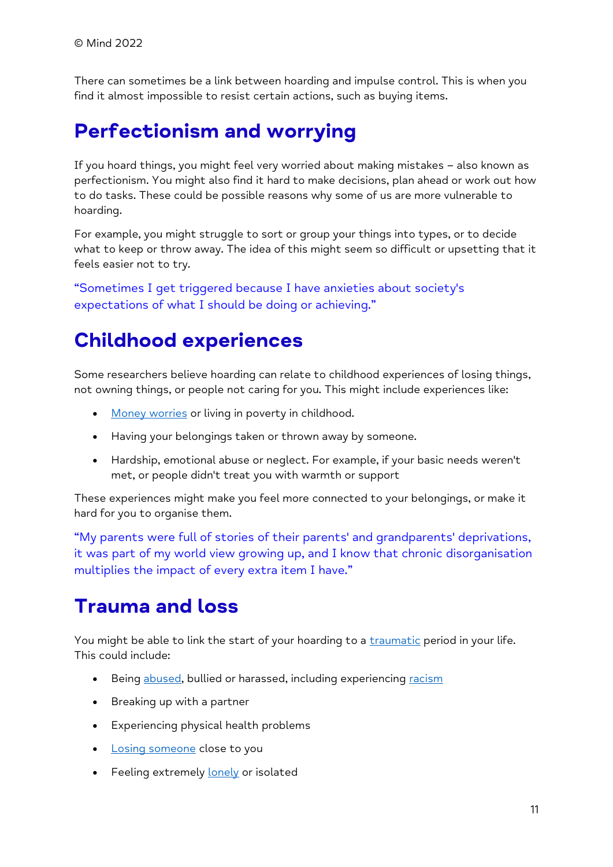There can sometimes be a link between hoarding and impulse control. This is when you find it almost impossible to resist certain actions, such as buying items.

### **Perfectionism and worrying**

If you hoard things, you might feel very worried about making mistakes – also known as perfectionism. You might also find it hard to make decisions, plan ahead or work out how to do tasks. These could be possible reasons why some of us are more vulnerable to hoarding.

For example, you might struggle to sort or group your things into types, or to decide what to keep or throw away. The idea of this might seem so difficult or upsetting that it feels easier not to try.

"Sometimes I get triggered because I have anxieties about society's expectations of what I should be doing or achieving."

### **Childhood experiences**

Some researchers believe hoarding can relate to childhood experiences of losing things, not owning things, or people not caring for you. This might include experiences like:

- [Money worries](https://www.mind.org.uk/information-support/tips-for-everyday-living/money-and-mental-health/) or living in poverty in childhood.
- Having your belongings taken or thrown away by someone.
- Hardship, emotional abuse or neglect. For example, if your basic needs weren't met, or people didn't treat you with warmth or support

These experiences might make you feel more connected to your belongings, or make it hard for you to organise them.

"My parents were full of stories of their parents' and grandparents' deprivations, it was part of my world view growing up, and I know that chronic disorganisation multiplies the impact of every extra item I have."

### **Trauma and loss**

You might be able to link the start of your hoarding to a *[traumatic](https://www.mind.org.uk/information-support/types-of-mental-health-problems/trauma/about-trauma/)* period in your life. This could include:

- Being [abused,](https://www.mind.org.uk/information-support/guides-to-support-and-services/abuse/about-this-resource/) bullied or harassed, including experiencing [racism](https://www.mind.org.uk/information-support/tips-for-everyday-living/racism-and-mental-health/)
- Breaking up with a partner
- Experiencing physical health problems
- [Losing someone](https://www.mind.org.uk/information-support/guides-to-support-and-services/bereavement/about-bereavement/) close to you
- Feeling extremely [lonely](https://www.mind.org.uk/information-support/tips-for-everyday-living/loneliness/about-loneliness/) or isolated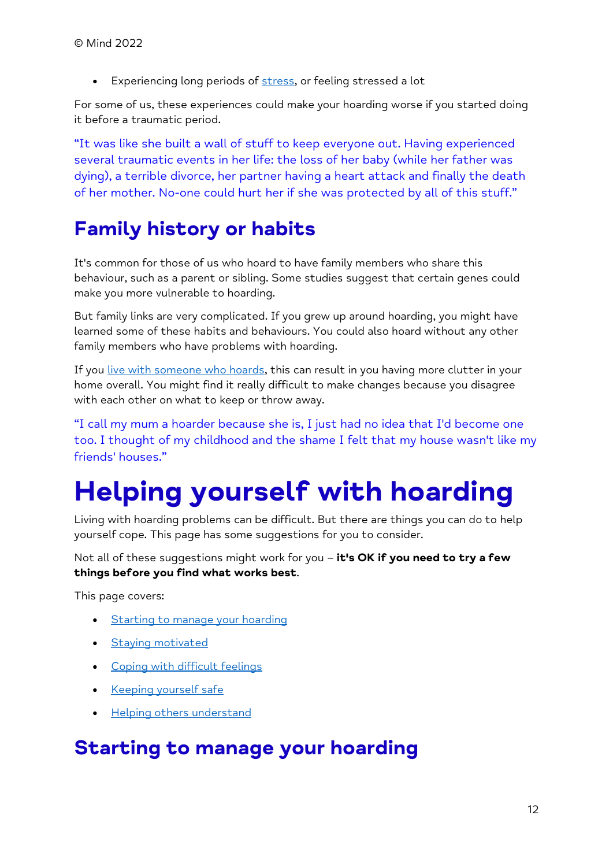• Experiencing long periods of [stress,](https://www.mind.org.uk/information-support/types-of-mental-health-problems/stress/what-is-stress/) or feeling stressed a lot

For some of us, these experiences could make your hoarding worse if you started doing it before a traumatic period.

"It was like she built a wall of stuff to keep everyone out. Having experienced several traumatic events in her life: the loss of her baby (while her father was dying), a terrible divorce, her partner having a heart attack and finally the death of her mother. No-one could hurt her if she was protected by all of this stuff."

## **Family history or habits**

It's common for those of us who hoard to have family members who share this behaviour, such as a parent or sibling. Some studies suggest that certain genes could make you more vulnerable to hoarding.

But family links are very complicated. If you grew up around hoarding, you might have learned some of these habits and behaviours. You could also hoard without any other family members who have problems with hoarding.

If you [live with someone who hoards,](https://www.mind.org.uk/information-support/types-of-mental-health-problems/hoarding/helping-someone-who-hoards/#LivingWithSomeoneWhoIsHoarding) this can result in you having more clutter in your home overall. You might find it really difficult to make changes because you disagree with each other on what to keep or throw away.

"I call my mum a hoarder because she is, I just had no idea that I'd become one too. I thought of my childhood and the shame I felt that my house wasn't like my friends' houses."

# <span id="page-11-0"></span>**Helping yourself with hoarding**

Living with hoarding problems can be difficult. But there are things you can do to help yourself cope. This page has some suggestions for you to consider.

Not all of these suggestions might work for you – **it's OK if you need to try a few things before you find what works best**.

This page covers:

- [Starting to manage your hoarding](https://www.mind.org.uk/information-support/types-of-mental-health-problems/hoarding/help-yourself-with-hoarding/#StartingToManageYourHoarding)
- [Staying motivated](https://www.mind.org.uk/information-support/types-of-mental-health-problems/hoarding/help-yourself-with-hoarding/#StayingMotivated)
- [Coping with difficult feelings](https://www.mind.org.uk/information-support/types-of-mental-health-problems/hoarding/help-yourself-with-hoarding/#CopingWithDifficultFeelings)
- [Keeping yourself safe](https://www.mind.org.uk/information-support/types-of-mental-health-problems/hoarding/help-yourself-with-hoarding/#KeepingYourselfSafe)
- **[Helping others understand](https://www.mind.org.uk/information-support/types-of-mental-health-problems/hoarding/help-yourself-with-hoarding/#HelpingOthersUnderstand)**

### **Starting to manage your hoarding**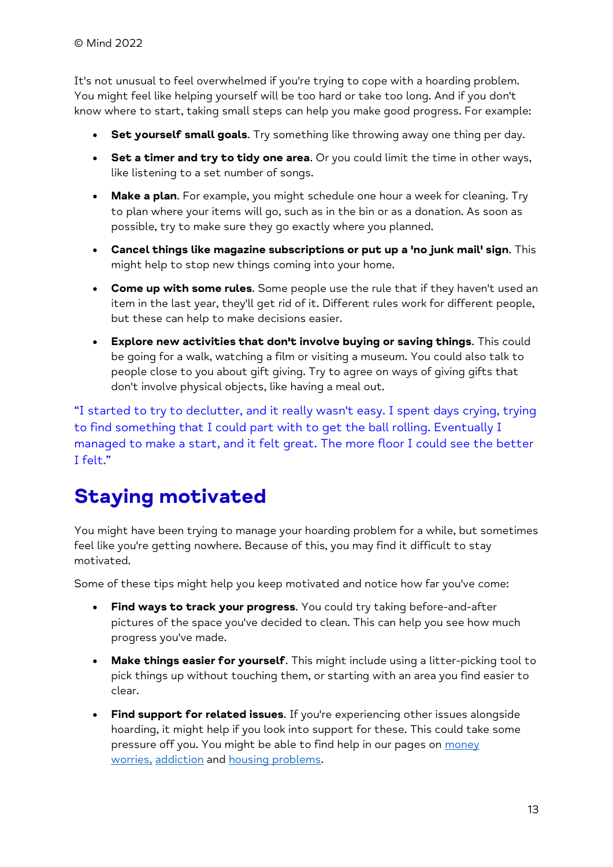It's not unusual to feel overwhelmed if you're trying to cope with a hoarding problem. You might feel like helping yourself will be too hard or take too long. And if you don't know where to start, taking small steps can help you make good progress. For example:

- **Set yourself small goals**. Try something like throwing away one thing per day.
- **Set a timer and try to tidy one area**. Or you could limit the time in other ways, like listening to a set number of songs.
- **Make a plan**. For example, you might schedule one hour a week for cleaning. Try to plan where your items will go, such as in the bin or as a donation. As soon as possible, try to make sure they go exactly where you planned.
- **Cancel things like magazine subscriptions or put up a 'no junk mail' sign**. This might help to stop new things coming into your home.
- **Come up with some rules**. Some people use the rule that if they haven't used an item in the last year, they'll get rid of it. Different rules work for different people, but these can help to make decisions easier.
- **Explore new activities that don't involve buying or saving things**. This could be going for a walk, watching a film or visiting a museum. You could also talk to people close to you about gift giving. Try to agree on ways of giving gifts that don't involve physical objects, like having a meal out.

"I started to try to declutter, and it really wasn't easy. I spent days crying, trying to find something that I could part with to get the ball rolling. Eventually I managed to make a start, and it felt great. The more floor I could see the better  $I$  felt."

### **Staying motivated**

You might have been trying to manage your hoarding problem for a while, but sometimes feel like you're getting nowhere. Because of this, you may find it difficult to stay motivated.

Some of these tips might help you keep motivated and notice how far you've come:

- **Find ways to track your progress**. You could try taking before-and-after pictures of the space you've decided to clean. This can help you see how much progress you've made.
- **Make things easier for yourself**. This might include using a litter-picking tool to pick things up without touching them, or starting with an area you find easier to clear.
- **Find support for related issues**. If you're experiencing other issues alongside hoarding, it might help if you look into support for these. This could take some pressure off you. You might be able to find help in our pages on money [worries,](https://www.mind.org.uk/information-support/tips-for-everyday-living/money-and-mental-health/) [addiction](https://www.mind.org.uk/information-support/guides-to-support-and-services/addiction-and-dependency/) and [housing problems.](https://www.mind.org.uk/information-support/guides-to-support-and-services/housing/housing-and-mental-health/)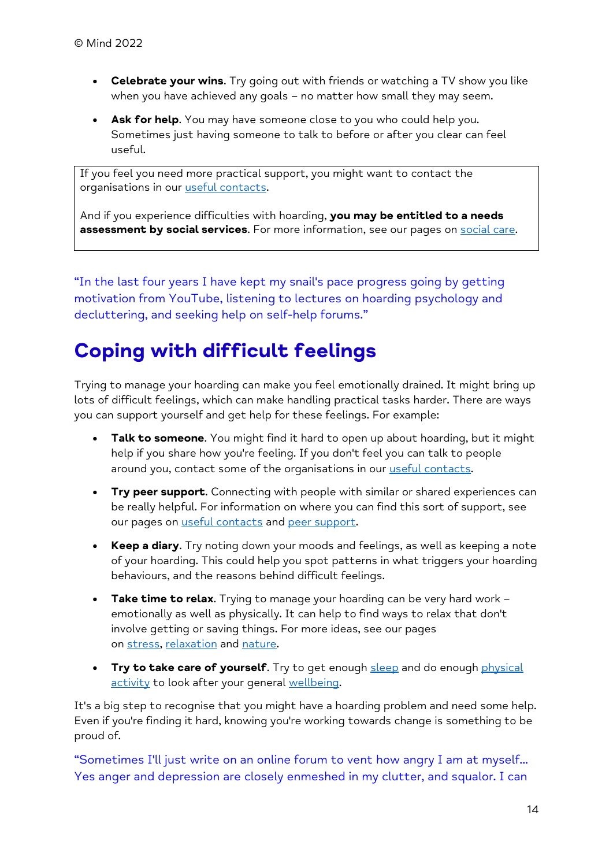- **Celebrate your wins**. Try going out with friends or watching a TV show you like when you have achieved any goals - no matter how small they may seem.
- **Ask for help**. You may have someone close to you who could help you. Sometimes just having someone to talk to before or after you clear can feel useful.

If you feel you need more practical support, you might want to contact the organisations in our [useful contacts.](https://www.mind.org.uk/information-support/types-of-mental-health-problems/hoarding/useful-contacts-for-hoarding/)

And if you experience difficulties with hoarding, **you may be entitled to a needs assessment by social services**. For more information, see our pages on **social care**.

"In the last four years I have kept my snail's pace progress going by getting motivation from YouTube, listening to lectures on hoarding psychology and decluttering, and seeking help on self-help forums."

## **Coping with difficult feelings**

Trying to manage your hoarding can make you feel emotionally drained. It might bring up lots of difficult feelings, which can make handling practical tasks harder. There are ways you can support yourself and get help for these feelings. For example:

- **Talk to someone**. You might find it hard to open up about hoarding, but it might help if you share how you're feeling. If you don't feel you can talk to people around you, contact some of the organisations in our [useful contacts.](https://www.mind.org.uk/information-support/types-of-mental-health-problems/hoarding/useful-contacts-for-hoarding/)
- **Try peer support**. Connecting with people with similar or shared experiences can be really helpful. For information on where you can find this sort of support, see our pages on [useful contacts](https://www.mind.org.uk/information-support/types-of-mental-health-problems/hoarding/useful-contacts-for-hoarding/) and [peer support.](https://www.mind.org.uk/information-support/drugs-and-treatments/peer-support/about-peer-support/)
- **Keep a diary**. Try noting down your moods and feelings, as well as keeping a note of your hoarding. This could help you spot patterns in what triggers your hoarding behaviours, and the reasons behind difficult feelings.
- **Take time to relax**. Trying to manage your hoarding can be very hard work emotionally as well as physically. It can help to find ways to relax that don't involve getting or saving things. For more ideas, see our pages on [stress,](https://www.mind.org.uk/information-support/types-of-mental-health-problems/stress/what-is-stress/) [relaxation](https://www.mind.org.uk/information-support/tips-for-everyday-living/relaxation/relaxation-tips/) and [nature.](https://www.mind.org.uk/information-support/tips-for-everyday-living/nature-and-mental-health/)
- **Try to take care of yourself.** Try to get enough [sleep](https://www.mind.org.uk/information-support/types-of-mental-health-problems/sleep-problems/about-sleep-and-mental-health/) and do enough physical [activity](https://www.mind.org.uk/information-support/tips-for-everyday-living/physical-activity-and-your-mental-health/about-physical-activity/) to look after your general [wellbeing.](https://www.mind.org.uk/information-support/tips-for-everyday-living/wellbeing/wellbeing/)

It's a big step to recognise that you might have a hoarding problem and need some help. Even if you're finding it hard, knowing you're working towards change is something to be proud of.

"Sometimes I'll just write on an online forum to vent how angry I am at myself... Yes anger and depression are closely enmeshed in my clutter, and squalor. I can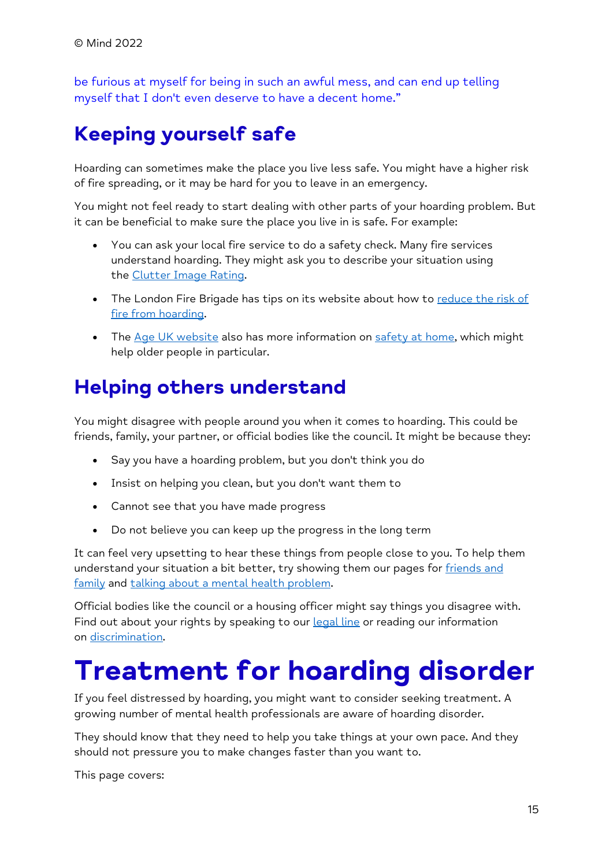be furious at myself for being in such an awful mess, and can end up telling myself that I don't even deserve to have a decent home."

## **Keeping yourself safe**

Hoarding can sometimes make the place you live less safe. You might have a higher risk of fire spreading, or it may be hard for you to leave in an emergency.

You might not feel ready to start dealing with other parts of your hoarding problem. But it can be beneficial to make sure the place you live in is safe. For example:

- You can ask your local fire service to do a safety check. Many fire services understand hoarding. They might ask you to describe your situation using the [Clutter Image Rating.](https://www.mind.org.uk/information-support/types-of-mental-health-problems/hoarding/treating-hoarding-disorder/#ToolsToHelpYouTalkToYourGP)
- The London Fire Brigade has tips on its website about how to reduce the risk of fire from [hoarding.](https://www.london-fire.gov.uk/media/4840/hoarding-leaflet_feb-2019-final.pdf)
- The [Age UK website](https://www.ageuk.org.uk/) also has more information on [safety at home,](https://www.ageuk.org.uk/information-advice/care/home-safety/) which might help older people in particular.

### **Helping others understand**

You might disagree with people around you when it comes to hoarding. This could be friends, family, your partner, or official bodies like the council. It might be because they:

- Say you have a hoarding problem, but you don't think you do
- Insist on helping you clean, but you don't want them to
- Cannot see that you have made progress
- Do not believe you can keep up the progress in the long term

It can feel very upsetting to hear these things from people close to you. To help them understand your situation a bit better, try showing them our pages for friends and [family](https://www.mind.org.uk/information-support/types-of-mental-health-problems/hoarding/helping-someone-who-hoards/) and [talking about a mental health problem.](https://www.mind.org.uk/information-support/guides-to-support-and-services/seeking-help-for-a-mental-health-problem/talking-to-friends-family/)

Official bodies like the council or a housing officer might say things you disagree with. Find out about your rights by speaking to our **[legal line](https://www.mind.org.uk/information-support/helplines/)** or reading our information on [discrimination.](https://www.mind.org.uk/information-support/legal-rights/discrimination-in-everyday-life/discrimination-by-public-authorities/)

# <span id="page-14-0"></span>**Treatment for hoarding disorder**

If you feel distressed by hoarding, you might want to consider seeking treatment. A growing number of mental health professionals are aware of hoarding disorder.

They should know that they need to help you take things at your own pace. And they should not pressure you to make changes faster than you want to.

This page covers: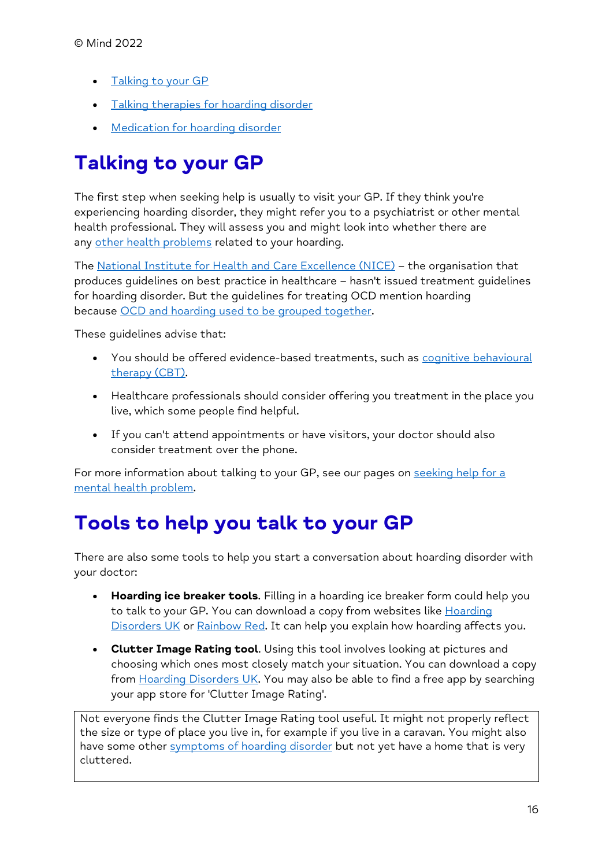- [Talking to](https://www.mind.org.uk/information-support/types-of-mental-health-problems/hoarding/treating-hoarding-disorder/#TalkingToYourGP) your GP
- Talking therapies [for hoarding disorder](https://www.mind.org.uk/information-support/types-of-mental-health-problems/hoarding/treating-hoarding-disorder/#TalkingTherapiesForHoardingDisorder)
- Medication [for hoarding disorder](https://www.mind.org.uk/information-support/types-of-mental-health-problems/hoarding/treating-hoarding-disorder/#MedicationForHoardingDisorder)

## **Talking to your GP**

The first step when seeking help is usually to visit your GP. If they think you're experiencing hoarding disorder, they might refer you to a psychiatrist or other mental health professional. They will assess you and might look into whether there are any [other health problems](https://www.mind.org.uk/information-support/types-of-mental-health-problems/hoarding/about-hoarding/#HoardingAndOtherHealthProblems) related to your hoarding.

The [National Institute for Health and Care Excellence \(NICE\)](https://www.nice.org.uk/) – the organisation that produces guidelines on best practice in healthcare – hasn't issued treatment guidelines for hoarding disorder. But the guidelines for treating OCD mention hoarding because [OCD and hoarding used to be grouped together.](https://www.mind.org.uk/information-support/types-of-mental-health-problems/hoarding/about-hoarding/#IsHoardingTheSameAsOCD)

These guidelines advise that:

- You should be offered evidence-based treatments, such as [cognitive behavioural](https://www.mind.org.uk/information-support/drugs-and-treatments/talking-therapy-and-counselling/cognitive-behavioural-therapy-cbt/)  [therapy \(CBT\).](https://www.mind.org.uk/information-support/drugs-and-treatments/talking-therapy-and-counselling/cognitive-behavioural-therapy-cbt/)
- Healthcare professionals should consider offering you treatment in the place you live, which some people find helpful.
- If you can't attend appointments or have visitors, your doctor should also consider treatment over the phone.

For more information about talking to your GP, see our pages on seeking help for a [mental health problem.](https://www.mind.org.uk/information-support/guides-to-support-and-services/seeking-help-for-a-mental-health-problem/)

### **Tools to help you talk to your GP**

There are also some tools to help you start a conversation about hoarding disorder with your doctor:

- **Hoarding ice breaker tools**. Filling in a hoarding ice breaker form could help you to talk to your GP. You can download a copy from websites like Hoarding [Disorders UK](https://hoardingdisordersuk.org/research-and-resources/ice-breaker-form/) or [Rainbow Red.](http://www.rainbowred.co.uk/) It can help you explain how hoarding affects you.
- **Clutter Image Rating tool**. Using this tool involves looking at pictures and choosing which ones most closely match your situation. You can download a copy from [Hoarding Disorders UK.](https://hoardingdisordersuk.org/research-and-resources/clutter-image-ratings/) You may also be able to find a free app by searching your app store for 'Clutter Image Rating'.

Not everyone finds the Clutter Image Rating tool useful. It might not properly reflect the size or type of place you live in, for example if you live in a caravan. You might also have some other [symptoms of hoarding disorder](https://www.mind.org.uk/information-support/types-of-mental-health-problems/hoarding/recognising-hoarding/#CanIGetADiagnosisOfHoardingDisorder) but not yet have a home that is very cluttered.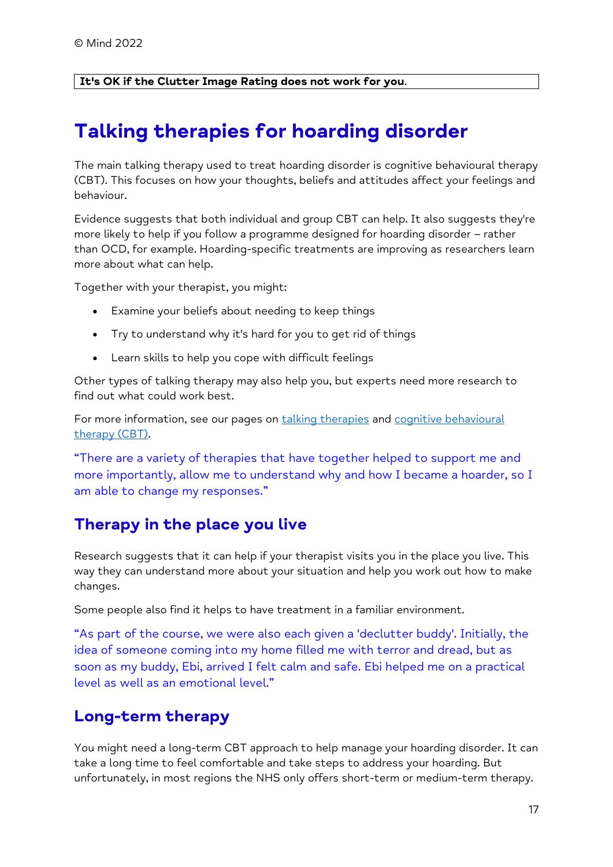#### **It's OK if the Clutter Image Rating does not work for you**.

### **Talking therapies for hoarding disorder**

The main talking therapy used to treat hoarding disorder is cognitive behavioural therapy (CBT). This focuses on how your thoughts, beliefs and attitudes affect your feelings and behaviour.

Evidence suggests that both individual and group CBT can help. It also suggests they're more likely to help if you follow a programme designed for hoarding disorder – rather than OCD, for example. Hoarding-specific treatments are improving as researchers learn more about what can help.

Together with your therapist, you might:

- Examine your beliefs about needing to keep things
- Try to understand why it's hard for you to get rid of things
- Learn skills to help you cope with difficult feelings

Other types of talking therapy may also help you, but experts need more research to find out what could work best.

For more information, see our pages on [talking therapies](https://www.mind.org.uk/information-support/drugs-and-treatments/talking-therapy-and-counselling/about-talking-therapies/) and cognitive behavioural [therapy \(CBT\).](https://www.mind.org.uk/information-support/drugs-and-treatments/talking-therapy-and-counselling/cognitive-behavioural-therapy-cbt/)

"There are a variety of therapies that have together helped to support me and more importantly, allow me to understand why and how I became a hoarder, so I am able to change my responses."

#### **Therapy in the place you live**

Research suggests that it can help if your therapist visits you in the place you live. This way they can understand more about your situation and help you work out how to make changes.

Some people also find it helps to have treatment in a familiar environment.

"As part of the course, we were also each given a 'declutter buddy'. Initially, the idea of someone coming into my home filled me with terror and dread, but as soon as my buddy, Ebi, arrived I felt calm and safe. Ebi helped me on a practical level as well as an emotional level."

#### **Long-term therapy**

You might need a long-term CBT approach to help manage your hoarding disorder. It can take a long time to feel comfortable and take steps to address your hoarding. But unfortunately, in most regions the NHS only offers short-term or medium-term therapy.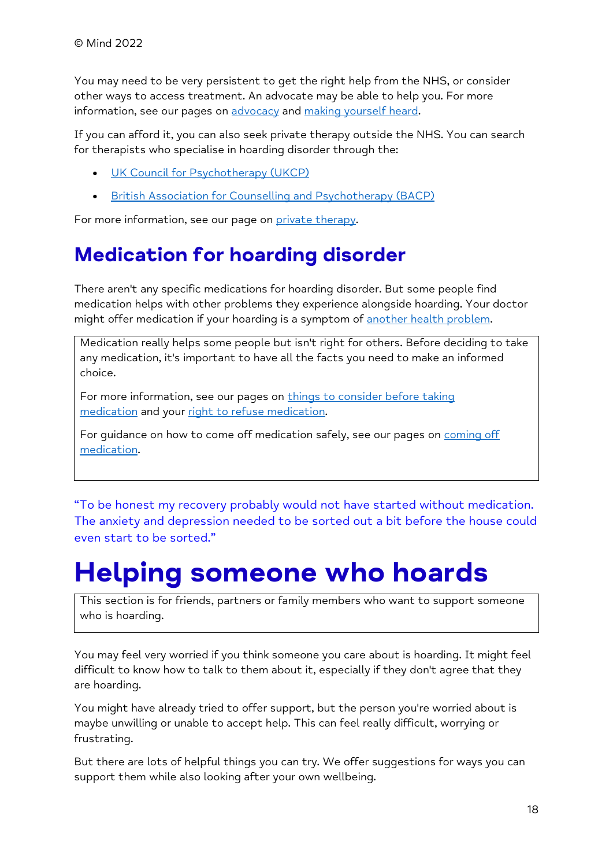You may need to be very persistent to get the right help from the NHS, or consider other ways to access treatment. An advocate may be able to help you. For more information, see our pages on [advocacy](https://www.mind.org.uk/information-support/guides-to-support-and-services/advocacy/) and [making yourself heard.](https://www.mind.org.uk/information-support/guides-to-support-and-services/seeking-help-for-a-mental-health-problem/making-yourself-heard/)

If you can afford it, you can also seek private therapy outside the NHS. You can search for therapists who specialise in hoarding disorder through the:

- [UK Council for Psychotherapy \(UKCP\)](https://www.psychotherapy.org.uk/)
- [British Association for Counselling and Psychotherapy \(BACP\)](https://www.bacp.co.uk/)

For more information, see our page on [private therapy.](https://www.mind.org.uk/information-support/guides-to-support-and-services/seeking-help-for-a-mental-health-problem/private-sector-care/)

### **Medication for hoarding disorder**

There aren't any specific medications for hoarding disorder. But some people find medication helps with other problems they experience alongside hoarding. Your doctor might offer medication if your hoarding is a symptom of [another health problem.](https://www.mind.org.uk/information-support/types-of-mental-health-problems/hoarding/about-hoarding/#HoardingAndOtherHealthProblems)

Medication really helps some people but isn't right for others. Before deciding to take any medication, it's important to have all the facts you need to make an informed choice.

For more information, see our pages on things to consider before taking [medication](https://www.mind.org.uk/information-support/drugs-and-treatments/medication/before-taking-medication/) and your [right to refuse medication.](https://www.mind.org.uk/information-support/drugs-and-treatments/medication/your-right-to-refuse-medication/)

For quidance on how to come off medication safely, see our pages on coming off [medication.](https://www.mind.org.uk/information-support/drugs-and-treatments/medication-coming-off/)

"To be honest my recovery probably would not have started without medication. The anxiety and depression needed to be sorted out a bit before the house could even start to be sorted."

# <span id="page-17-0"></span>**Helping someone who hoards**

This section is for friends, partners or family members who want to support someone who is hoarding.

You may feel very worried if you think someone you care about is hoarding. It might feel difficult to know how to talk to them about it, especially if they don't agree that they are hoarding.

You might have already tried to offer support, but the person you're worried about is maybe unwilling or unable to accept help. This can feel really difficult, worrying or frustrating.

But there are lots of helpful things you can try. We offer suggestions for ways you can support them while also looking after your own wellbeing.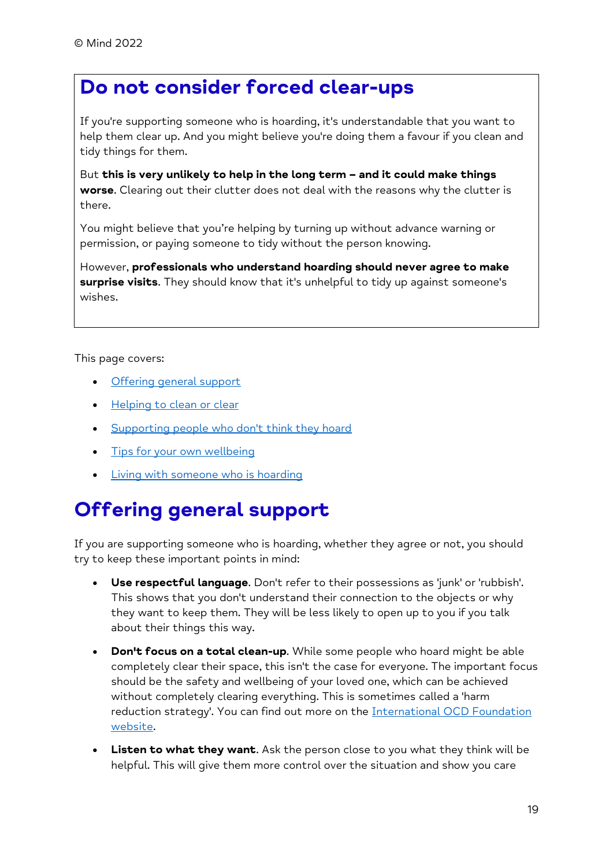### **Do not consider forced clear-ups**

If you're supporting someone who is hoarding, it's understandable that you want to help them clear up. And you might believe you're doing them a favour if you clean and tidy things for them.

But **this is very unlikely to help in the long term – and it could make things worse**. Clearing out their clutter does not deal with the reasons why the clutter is there.

You might believe that you're helping by turning up without advance warning or permission, or paying someone to tidy without the person knowing.

However, **professionals who understand hoarding should never agree to make surprise visits**. They should know that it's unhelpful to tidy up against someone's wishes.

This page covers:

- [Offering general support](https://www.mind.org.uk/information-support/types-of-mental-health-problems/hoarding/helping-someone-who-hoards/#OfferingGeneralSupport)
- [Helping to clean or clear](https://www.mind.org.uk/information-support/types-of-mental-health-problems/hoarding/helping-someone-who-hoards/#HelpingToCleanOrClear)
- [Supporting people who don't think they hoard](https://www.mind.org.uk/information-support/types-of-mental-health-problems/hoarding/helping-someone-who-hoards/#SupportingPeopleWhoDontThinkTheyHoard)
- [Tips for your own wellbeing](https://www.mind.org.uk/information-support/types-of-mental-health-problems/hoarding/helping-someone-who-hoards/#TipsForYourOwnWellbeing)
- [Living with someone who is hoarding](https://www.mind.org.uk/information-support/types-of-mental-health-problems/hoarding/helping-someone-who-hoards/#LivingWithSomeoneWhoIsHoarding)

### **Offering general support**

If you are supporting someone who is hoarding, whether they agree or not, you should try to keep these important points in mind:

- **Use respectful language**. Don't refer to their possessions as 'junk' or 'rubbish'. This shows that you don't understand their connection to the objects or why they want to keep them. They will be less likely to open up to you if you talk about their things this way.
- **Don't focus on a total clean-up**. While some people who hoard might be able completely clear their space, this isn't the case for everyone. The important focus should be the safety and wellbeing of your loved one, which can be achieved without completely clearing everything. This is sometimes called a 'harm reduction strategy'. You can find out more on the International OCD Foundation [website.](https://hoarding.iocdf.org/for-families/how-to-help-a-loved-one-with-hd/)
- **Listen to what they want**. Ask the person close to you what they think will be helpful. This will give them more control over the situation and show you care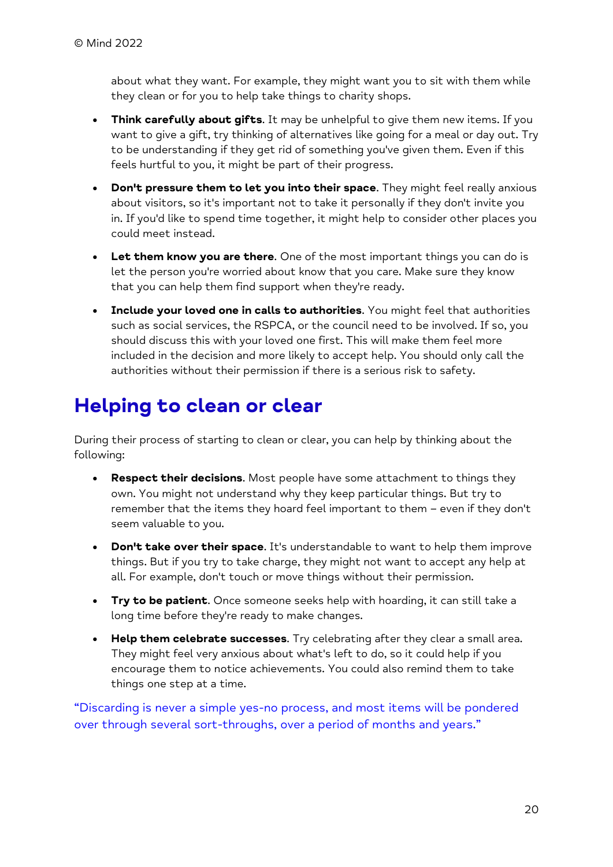about what they want. For example, they might want you to sit with them while they clean or for you to help take things to charity shops.

- **Think carefully about gifts**. It may be unhelpful to give them new items. If you want to give a gift, try thinking of alternatives like going for a meal or day out. Try to be understanding if they get rid of something you've given them. Even if this feels hurtful to you, it might be part of their progress.
- **Don't pressure them to let you into their space**. They might feel really anxious about visitors, so it's important not to take it personally if they don't invite you in. If you'd like to spend time together, it might help to consider other places you could meet instead.
- **Let them know you are there**. One of the most important things you can do is let the person you're worried about know that you care. Make sure they know that you can help them find support when they're ready.
- **Include your loved one in calls to authorities**. You might feel that authorities such as social services, the RSPCA, or the council need to be involved. If so, you should discuss this with your loved one first. This will make them feel more included in the decision and more likely to accept help. You should only call the authorities without their permission if there is a serious risk to safety.

### **Helping to clean or clear**

During their process of starting to clean or clear, you can help by thinking about the following:

- **Respect their decisions**. Most people have some attachment to things they own. You might not understand why they keep particular things. But try to remember that the items they hoard feel important to them – even if they don't seem valuable to you.
- **Don't take over their space**. It's understandable to want to help them improve things. But if you try to take charge, they might not want to accept any help at all. For example, don't touch or move things without their permission.
- **Try to be patient**. Once someone seeks help with hoarding, it can still take a long time before they're ready to make changes.
- **Help them celebrate successes**. Try celebrating after they clear a small area. They might feel very anxious about what's left to do, so it could help if you encourage them to notice achievements. You could also remind them to take things one step at a time.

"Discarding is never a simple yes-no process, and most items will be pondered over through several sort-throughs, over a period of months and years."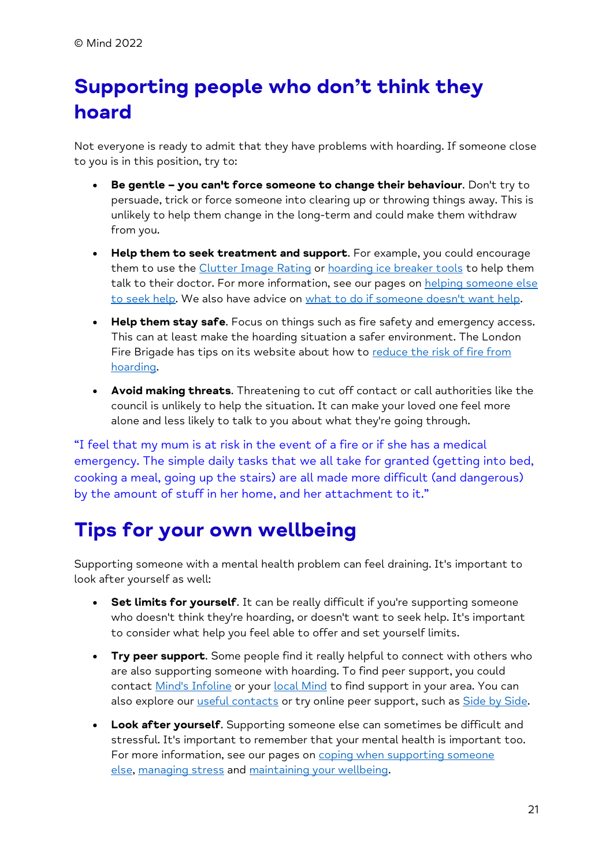## **Supporting people who don't think they hoard**

Not everyone is ready to admit that they have problems with hoarding. If someone close to you is in this position, try to:

- **Be gentle – you can't force someone to change their behaviour**. Don't try to persuade, trick or force someone into clearing up or throwing things away. This is unlikely to help them change in the long-term and could make them withdraw from you.
- **Help them to seek treatment and support**. For example, you could encourage them to use the [Clutter Image Rating](https://www.mind.org.uk/information-support/types-of-mental-health-problems/hoarding/treating-hoarding-disorder/#ToolsToHelpYouTalkToYourGP) or [hoarding ice breaker](https://www.mind.org.uk/information-support/types-of-mental-health-problems/hoarding/treating-hoarding-disorder/#ToolsToHelpYouTalkToYourGP) tools to help them talk to their doctor. For more information, see our pages on helping someone else [to seek help.](https://www.mind.org.uk/information-support/guides-to-support-and-services/seeking-help-for-a-mental-health-problem/helping-someone-else-seek-help/) We also have advice on [what to do if someone doesn't want help.](https://www.mind.org.uk/information-support/guides-to-support-and-services/seeking-help-for-a-mental-health-problem/helping-someone-else-seek-help/#WhatCanIDoIfSomeoneDoesntWantMyHelp)
- **Help them stay safe**. Focus on things such as fire safety and emergency access. This can at least make the hoarding situation a safer environment. The London Fire Brigade has tips on its website about how to reduce the risk of fire from [hoarding.](https://www.london-fire.gov.uk/media/4840/hoarding-leaflet_feb-2019-final.pdf)
- **Avoid making threats**. Threatening to cut off contact or call authorities like the council is unlikely to help the situation. It can make your loved one feel more alone and less likely to talk to you about what they're going through.

"I feel that my mum is at risk in the event of a fire or if she has a medical emergency. The simple daily tasks that we all take for granted (getting into bed, cooking a meal, going up the stairs) are all made more difficult (and dangerous) by the amount of stuff in her home, and her attachment to it."

### **Tips for your own wellbeing**

Supporting someone with a mental health problem can feel draining. It's important to look after yourself as well:

- **Set limits for yourself**. It can be really difficult if you're supporting someone who doesn't think they're hoarding, or doesn't want to seek help. It's important to consider what help you feel able to offer and set yourself limits.
- **Try peer support**. Some people find it really helpful to connect with others who are also supporting someone with hoarding. To find peer support, you could contact [Mind's Infoline](https://www.mind.org.uk/information-support/helplines/) or your [local Mind](https://www.mind.org.uk/about-us/local-minds/) to find support in your area. You can also explore our *[useful contacts](https://www.mind.org.uk/information-support/types-of-mental-health-problems/hoarding/useful-contacts-for-hoarding/)* or try online peer support, such as **Side by Side**.
- **Look after yourself**. Supporting someone else can sometimes be difficult and stressful. It's important to remember that your mental health is important too. For more information, see our pages on coping when supporting someone [else,](https://www.mind.org.uk/information-support/helping-someone-else/carers-friends-family-coping-support/looking-after-yourself/) [managing stress](https://www.mind.org.uk/information-support/types-of-mental-health-problems/stress/what-is-stress/) and [maintaining your wellbeing.](https://www.mind.org.uk/information-support/tips-for-everyday-living/wellbeing/)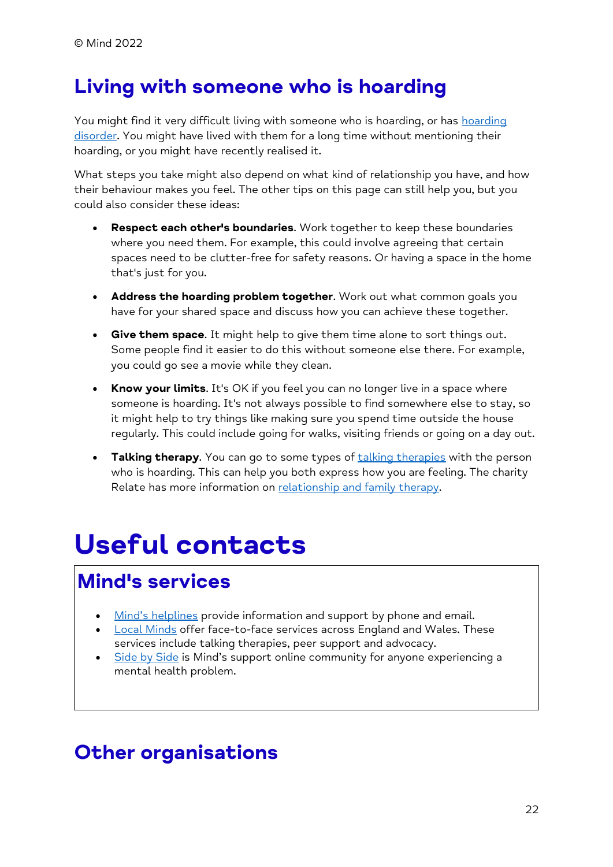### **Living with someone who is hoarding**

You might find it very difficult living with someone who is hoarding, or has [hoarding](https://www.mind.org.uk/information-support/types-of-mental-health-problems/hoarding/recognising-hoarding/#CanIGetADiagnosisOfHoardingDisorder)  [disorder.](https://www.mind.org.uk/information-support/types-of-mental-health-problems/hoarding/recognising-hoarding/#CanIGetADiagnosisOfHoardingDisorder) You might have lived with them for a long time without mentioning their hoarding, or you might have recently realised it.

What steps you take might also depend on what kind of relationship you have, and how their behaviour makes you feel. The other tips on this page can still help you, but you could also consider these ideas:

- **Respect each other's boundaries**. Work together to keep these boundaries where you need them. For example, this could involve agreeing that certain spaces need to be clutter-free for safety reasons. Or having a space in the home that's just for you.
- **Address the hoarding problem together**. Work out what common goals you have for your shared space and discuss how you can achieve these together.
- **Give them space**. It might help to give them time alone to sort things out. Some people find it easier to do this without someone else there. For example, you could go see a movie while they clean.
- **Know your limits**. It's OK if you feel you can no longer live in a space where someone is hoarding. It's not always possible to find somewhere else to stay, so it might help to try things like making sure you spend time outside the house regularly. This could include going for walks, visiting friends or going on a day out.
- **Talking therapy.** You can go to some types of [talking therapies](https://www.mind.org.uk/information-support/drugs-and-treatments/talking-therapy-and-counselling/about-talking-therapies/) with the person who is hoarding. This can help you both express how you are feeling. The charity Relate has more information on [relationship and family therapy.](https://www.relate.org.uk/relationship-advice)

# <span id="page-21-0"></span>**Useful contacts**

### **Mind's services**

- [Mind's helplines](https://www.mind.org.uk/information-support/helplines/) provide information and support by phone and email.
- [Local Minds](https://www.mind.org.uk/about-us/local-minds/) offer face-to-face services across England and Wales. These services include talking therapies, peer support and advocacy.
- [Side by Side](https://www.mind.org.uk/information-support/side-by-side-our-online-community/) is Mind's support online community for anyone experiencing a mental health problem.

### **Other organisations**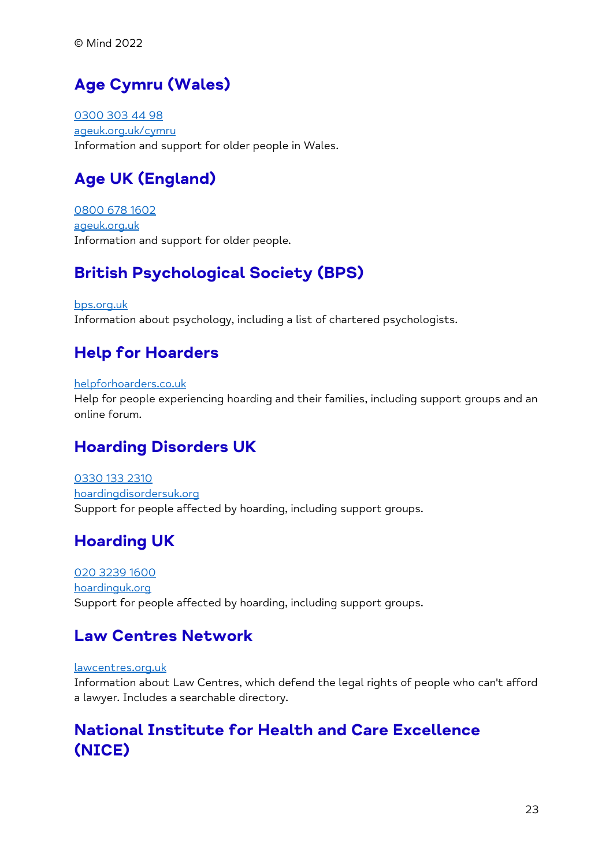### **Age Cymru (Wales)**

[0300 303 44 98](tel:+44-300-303-44-98) [ageuk.org.uk/cymru](https://www.ageuk.org.uk/cymru/) Information and support for older people in Wales.

### **Age UK (England)**

[0800 678 1602](tel:+44-800-678-1602) [ageuk.org.uk](https://www.ageuk.org.uk/) Information and support for older people.

### **British Psychological Society (BPS)**

[bps.org.uk](https://www.bps.org.uk/) Information about psychology, including a list of chartered psychologists.

### **Help for Hoarders**

#### [helpforhoarders.co.uk](https://www.helpforhoarders.co.uk/)

Help for people experiencing hoarding and their families, including support groups and an online forum.

### **Hoarding Disorders UK**

[0330 133 2310](tel:+44-330-133-2310) [hoardingdisordersuk.org](https://www.hoardingdisordersuk.org/) Support for people affected by hoarding, including support groups.

### **Hoarding UK**

[020 3239 1600](tel:+44-20-3239-1600) [hoardinguk.org](https://www.hoardinguk.org/) Support for people affected by hoarding, including support groups.

#### **Law Centres Network**

#### [lawcentres.org.uk](https://www.lawcentres.org.uk/)

Information about Law Centres, which defend the legal rights of people who can't afford a lawyer. Includes a searchable directory.

#### **National Institute for Health and Care Excellence (NICE)**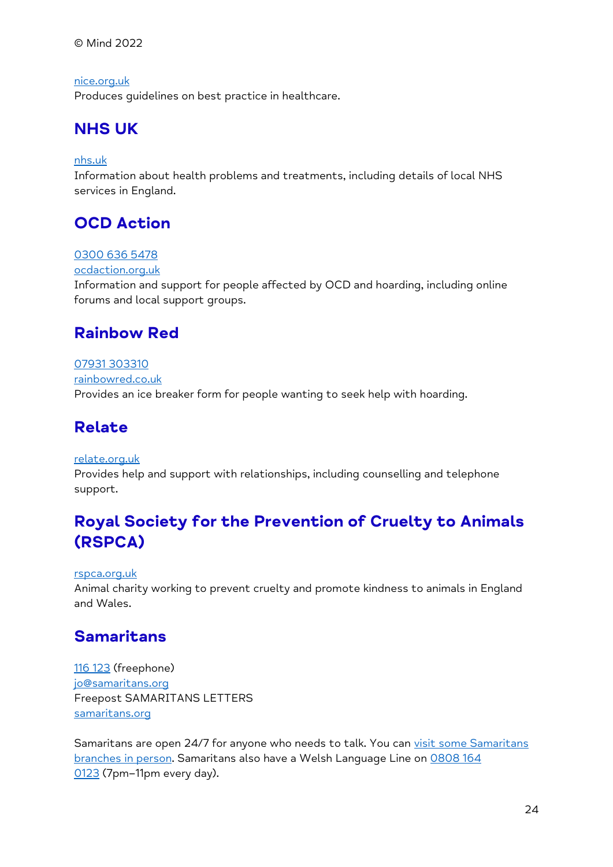© Mind 2022

[nice.org.uk](https://www.nice.org.uk/) Produces guidelines on best practice in healthcare.

### **NHS UK**

#### [nhs.uk](https://www.nhs.uk/)

Information about health problems and treatments, including details of local NHS services in England.

#### **OCD Action**

#### [0300 636 5478](tel:+44-300-636-5478)

[ocdaction.org.uk](https://www.ocdaction.org.uk/)

Information and support for people affected by OCD and hoarding, including online forums and local support groups.

#### **Rainbow Red**

[07931 303310](tel:+44-7931-303310) [rainbowred.co.uk](http://www.rainbowred.co.uk/) Provides an ice breaker form for people wanting to seek help with hoarding.

#### **Relate**

#### [relate.org.uk](https://www.relate.org.uk/)

Provides help and support with relationships, including counselling and telephone support.

#### **Royal Society for the Prevention of Cruelty to Animals (RSPCA)**

#### [rspca.org.uk](https://www.rspca.org.uk/)

Animal charity working to prevent cruelty and promote kindness to animals in England and Wales.

#### **Samaritans**

[116 123](tel:+44-116-123) (freephone) [jo@samaritans.org](mailto:jo@samaritans.org) Freepost SAMARITANS LETTERS [samaritans.org](https://www.samaritans.org/)

Samaritans are open 24/7 for anyone who needs to talk. You can visit some Samaritans [branches in person.](https://www.samaritans.org/branches) Samaritans also have a Welsh Language Line on [0808 164](tel:+44-808-164-0123)  [0123](tel:+44-808-164-0123) (7pm–11pm every day).